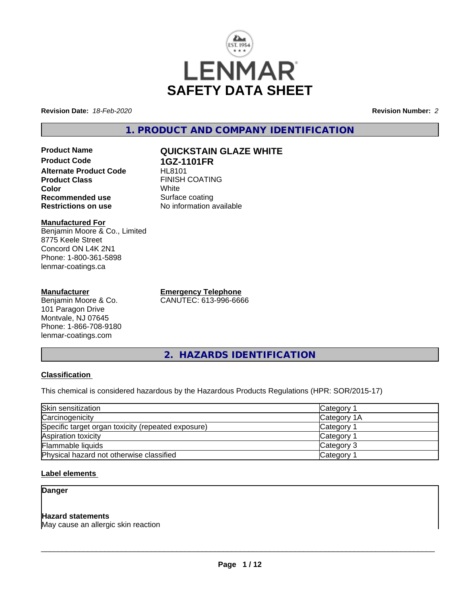

**Revision Date:** *18-Feb-2020* **Revision Number:** *2*

**1. PRODUCT AND COMPANY IDENTIFICATION**

**Product Name QUICKSTAIN GLAZE WHITE Product Code 1GZ-1101FR Alternate Product Code Product Class** FINISH COATING<br> **Color** White **Color** White White **Recommended use** Surface coating<br> **Restrictions on use** No information and No

**Manufactured For** Benjamin Moore & Co., Limited 8775 Keele Street Concord ON L4K 2N1 Phone: 1-800-361-5898 lenmar-coatings.ca

#### **Manufacturer**

Benjamin Moore & Co. 101 Paragon Drive Montvale, NJ 07645 Phone: 1-866-708-9180 lenmar-coatings.com

**Emergency Telephone**

**No information available** 

CANUTEC: 613-996-6666

**2. HAZARDS IDENTIFICATION**

### **Classification**

This chemical is considered hazardous by the Hazardous Products Regulations (HPR: SOR/2015-17)

| Skin sensitization                                 | Category 1            |
|----------------------------------------------------|-----------------------|
| Carcinogenicity                                    | Category 1A           |
| Specific target organ toxicity (repeated exposure) | Category 1            |
| Aspiration toxicity                                | Category <sup>2</sup> |
| Flammable liquids                                  | Category 3            |
| Physical hazard not otherwise classified           | Category 1            |

### **Label elements**

# **Danger**

### **Hazard statements**

May cause an allergic skin reaction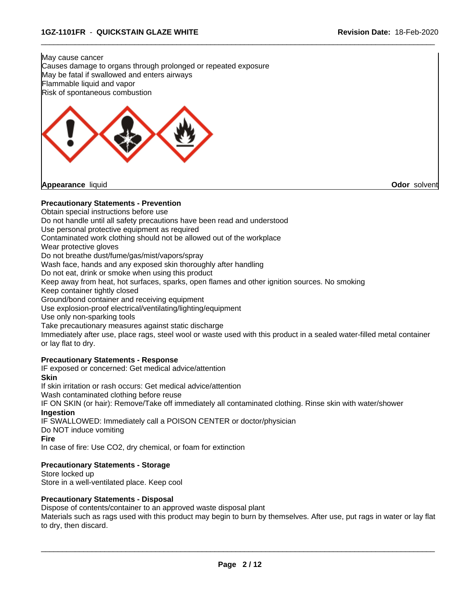May cause cancer Causes damage to organs through prolonged or repeated exposure May be fatal if swallowed and enters airways Flammable liquid and vapor Risk of spontaneous combustion



#### **Precautionary Statements - Prevention**

Obtain special instructions before use

Do not handle until all safety precautions have been read and understood

Use personal protective equipment as required

Contaminated work clothing should not be allowed out of the workplace

Wear protective gloves

Do not breathe dust/fume/gas/mist/vapors/spray

Wash face, hands and any exposed skin thoroughly after handling

Do not eat, drink or smoke when using this product

Keep away from heat, hot surfaces, sparks, open flames and other ignition sources. No smoking

Keep container tightly closed

Ground/bond container and receiving equipment

Use explosion-proof electrical/ventilating/lighting/equipment

Use only non-sparking tools

Take precautionary measures against static discharge

Immediately after use, place rags, steel wool or waste used with this product in a sealed water-filled metal container or lay flat to dry.

 $\overline{\phantom{a}}$  ,  $\overline{\phantom{a}}$  ,  $\overline{\phantom{a}}$  ,  $\overline{\phantom{a}}$  ,  $\overline{\phantom{a}}$  ,  $\overline{\phantom{a}}$  ,  $\overline{\phantom{a}}$  ,  $\overline{\phantom{a}}$  ,  $\overline{\phantom{a}}$  ,  $\overline{\phantom{a}}$  ,  $\overline{\phantom{a}}$  ,  $\overline{\phantom{a}}$  ,  $\overline{\phantom{a}}$  ,  $\overline{\phantom{a}}$  ,  $\overline{\phantom{a}}$  ,  $\overline{\phantom{a}}$ 

#### **Precautionary Statements - Response**

IF exposed or concerned: Get medical advice/attention

**Skin**

If skin irritation or rash occurs: Get medical advice/attention

Wash contaminated clothing before reuse

IF ON SKIN (or hair): Remove/Take off immediately all contaminated clothing. Rinse skin with water/shower **Ingestion**

IF SWALLOWED: Immediately call a POISON CENTER or doctor/physician

Do NOT induce vomiting

**Fire**

In case of fire: Use CO2, dry chemical, or foam for extinction

#### **Precautionary Statements - Storage**

Store locked up Store in a well-ventilated place. Keep cool

#### **Precautionary Statements - Disposal**

Dispose of contents/container to an approved waste disposal plant

Materials such as rags used with this product may begin to burn by themselves. After use, put rags in water or lay flat to dry, then discard.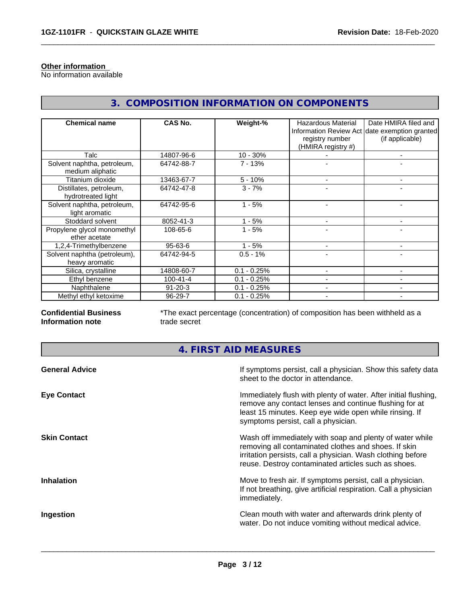#### **Other information**

No information available

| <b>Chemical name</b>                            | CAS No.        | Weight-%      | Hazardous Material<br>registry number<br>(HMIRA registry #) | Date HMIRA filed and<br>Information Review Act date exemption granted<br>(if applicable) |
|-------------------------------------------------|----------------|---------------|-------------------------------------------------------------|------------------------------------------------------------------------------------------|
| Talc                                            | 14807-96-6     | $10 - 30%$    |                                                             |                                                                                          |
| Solvent naphtha, petroleum,<br>medium aliphatic | 64742-88-7     | $7 - 13%$     |                                                             |                                                                                          |
| Titanium dioxide                                | 13463-67-7     | $5 - 10%$     |                                                             | ۰                                                                                        |
| Distillates, petroleum,<br>hydrotreated light   | 64742-47-8     | $3 - 7%$      |                                                             |                                                                                          |
| Solvent naphtha, petroleum,<br>light aromatic   | 64742-95-6     | $1 - 5%$      |                                                             |                                                                                          |
| Stoddard solvent                                | 8052-41-3      | - 5%          |                                                             |                                                                                          |
| Propylene glycol monomethyl<br>ether acetate    | 108-65-6       | $1 - 5%$      |                                                             |                                                                                          |
| 1,2,4-Trimethylbenzene                          | 95-63-6        | $1 - 5%$      |                                                             | $\overline{\phantom{0}}$                                                                 |
| Solvent naphtha (petroleum),<br>heavy aromatic  | 64742-94-5     | $0.5 - 1%$    |                                                             |                                                                                          |
| Silica, crystalline                             | 14808-60-7     | $0.1 - 0.25%$ |                                                             |                                                                                          |
| Ethyl benzene                                   | $100 - 41 - 4$ | $0.1 - 0.25%$ |                                                             | ۰                                                                                        |
| Naphthalene                                     | $91 - 20 - 3$  | $0.1 - 0.25%$ |                                                             |                                                                                          |
| Methyl ethyl ketoxime                           | 96-29-7        | $0.1 - 0.25%$ |                                                             |                                                                                          |

**3. COMPOSITION INFORMATION ON COMPONENTS**

#### **Confidential Business Information note**

\*The exact percentage (concentration) of composition has been withheld as a trade secret

 $\overline{\phantom{a}}$  ,  $\overline{\phantom{a}}$  ,  $\overline{\phantom{a}}$  ,  $\overline{\phantom{a}}$  ,  $\overline{\phantom{a}}$  ,  $\overline{\phantom{a}}$  ,  $\overline{\phantom{a}}$  ,  $\overline{\phantom{a}}$  ,  $\overline{\phantom{a}}$  ,  $\overline{\phantom{a}}$  ,  $\overline{\phantom{a}}$  ,  $\overline{\phantom{a}}$  ,  $\overline{\phantom{a}}$  ,  $\overline{\phantom{a}}$  ,  $\overline{\phantom{a}}$  ,  $\overline{\phantom{a}}$ 

# **4. FIRST AID MEASURES**

| <b>General Advice</b> | If symptoms persist, call a physician. Show this safety data<br>sheet to the doctor in attendance.                                                                                                                                     |
|-----------------------|----------------------------------------------------------------------------------------------------------------------------------------------------------------------------------------------------------------------------------------|
| <b>Eye Contact</b>    | Immediately flush with plenty of water. After initial flushing,<br>remove any contact lenses and continue flushing for at<br>least 15 minutes. Keep eye wide open while rinsing. If<br>symptoms persist, call a physician.             |
| <b>Skin Contact</b>   | Wash off immediately with soap and plenty of water while<br>removing all contaminated clothes and shoes. If skin<br>irritation persists, call a physician. Wash clothing before<br>reuse. Destroy contaminated articles such as shoes. |
| <b>Inhalation</b>     | Move to fresh air. If symptoms persist, call a physician.<br>If not breathing, give artificial respiration. Call a physician<br>immediately.                                                                                           |
| Ingestion             | Clean mouth with water and afterwards drink plenty of<br>water. Do not induce vomiting without medical advice.                                                                                                                         |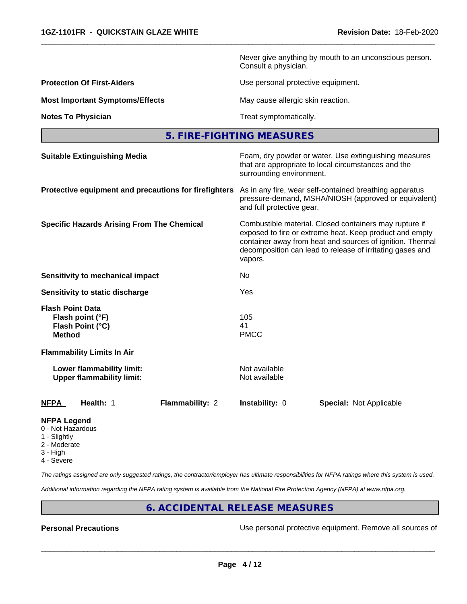Never give anything by mouth to an unconscious person. Consult a physician.

**Protection Of First-Aiders Conserverse Exercise Exercise Use personal protective equipment.** 

**Most Important Symptoms/Effects** May cause allergic skin reaction.

**Notes To Physician** Motes To Physician Treat symptomatically.

 $\overline{\phantom{a}}$  ,  $\overline{\phantom{a}}$  ,  $\overline{\phantom{a}}$  ,  $\overline{\phantom{a}}$  ,  $\overline{\phantom{a}}$  ,  $\overline{\phantom{a}}$  ,  $\overline{\phantom{a}}$  ,  $\overline{\phantom{a}}$  ,  $\overline{\phantom{a}}$  ,  $\overline{\phantom{a}}$  ,  $\overline{\phantom{a}}$  ,  $\overline{\phantom{a}}$  ,  $\overline{\phantom{a}}$  ,  $\overline{\phantom{a}}$  ,  $\overline{\phantom{a}}$  ,  $\overline{\phantom{a}}$ 

### **5. FIRE-FIGHTING MEASURES**

| <b>Suitable Extinguishing Media</b>                                              | Foam, dry powder or water. Use extinguishing measures<br>that are appropriate to local circumstances and the<br>surrounding environment.                                                                                                               |  |
|----------------------------------------------------------------------------------|--------------------------------------------------------------------------------------------------------------------------------------------------------------------------------------------------------------------------------------------------------|--|
| Protective equipment and precautions for firefighters                            | As in any fire, wear self-contained breathing apparatus<br>pressure-demand, MSHA/NIOSH (approved or equivalent)<br>and full protective gear.                                                                                                           |  |
| <b>Specific Hazards Arising From The Chemical</b>                                | Combustible material. Closed containers may rupture if<br>exposed to fire or extreme heat. Keep product and empty<br>container away from heat and sources of ignition. Thermal<br>decomposition can lead to release of irritating gases and<br>vapors. |  |
| <b>Sensitivity to mechanical impact</b>                                          | No.                                                                                                                                                                                                                                                    |  |
| Sensitivity to static discharge                                                  | Yes                                                                                                                                                                                                                                                    |  |
| <b>Flash Point Data</b><br>Flash point (°F)<br>Flash Point (°C)<br><b>Method</b> | 105<br>41<br><b>PMCC</b>                                                                                                                                                                                                                               |  |
| <b>Flammability Limits In Air</b>                                                |                                                                                                                                                                                                                                                        |  |
| Lower flammability limit:<br><b>Upper flammability limit:</b>                    | Not available<br>Not available                                                                                                                                                                                                                         |  |
| <b>NFPA</b><br>Health: 1<br>Flammability: 2                                      | <b>Instability: 0</b><br><b>Special: Not Applicable</b>                                                                                                                                                                                                |  |
| <b>NIPPLA I</b> Louis II                                                         |                                                                                                                                                                                                                                                        |  |

#### **NFPA Legend**

- 0 Not Hazardous
- 1 Slightly
- 2 Moderate
- 3 High 4 - Severe
- 

*The ratings assigned are only suggested ratings, the contractor/employer has ultimate responsibilities for NFPA ratings where this system is used.*

*Additional information regarding the NFPA rating system is available from the National Fire Protection Agency (NFPA) at www.nfpa.org.*

# **6. ACCIDENTAL RELEASE MEASURES**

**Personal Precautions Personal protective equipment. Remove all sources of**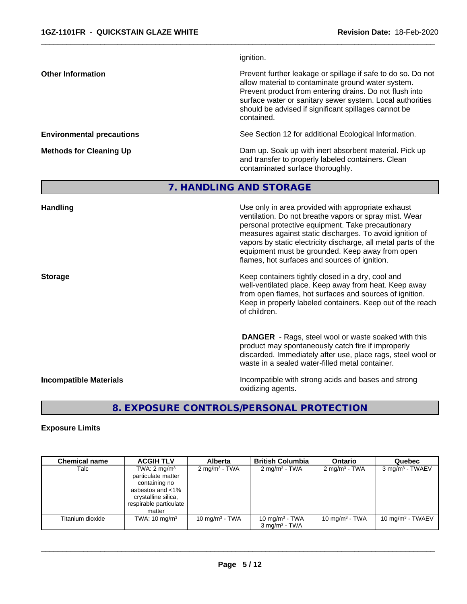|                                  | ignition.                                                                                                                                                                                                                                                                                                                                                                                           |
|----------------------------------|-----------------------------------------------------------------------------------------------------------------------------------------------------------------------------------------------------------------------------------------------------------------------------------------------------------------------------------------------------------------------------------------------------|
| <b>Other Information</b>         | Prevent further leakage or spillage if safe to do so. Do not<br>allow material to contaminate ground water system.<br>Prevent product from entering drains. Do not flush into<br>surface water or sanitary sewer system. Local authorities<br>should be advised if significant spillages cannot be<br>contained.                                                                                    |
| <b>Environmental precautions</b> | See Section 12 for additional Ecological Information.                                                                                                                                                                                                                                                                                                                                               |
| <b>Methods for Cleaning Up</b>   | Dam up. Soak up with inert absorbent material. Pick up<br>and transfer to properly labeled containers. Clean<br>contaminated surface thoroughly.                                                                                                                                                                                                                                                    |
|                                  | 7. HANDLING AND STORAGE                                                                                                                                                                                                                                                                                                                                                                             |
| <b>Handling</b>                  | Use only in area provided with appropriate exhaust<br>ventilation. Do not breathe vapors or spray mist. Wear<br>personal protective equipment. Take precautionary<br>measures against static discharges. To avoid ignition of<br>vapors by static electricity discharge, all metal parts of the<br>equipment must be grounded. Keep away from open<br>flames, hot surfaces and sources of ignition. |
| <b>Storage</b>                   | Keep containers tightly closed in a dry, cool and<br>well-ventilated place. Keep away from heat. Keep away<br>from open flames, hot surfaces and sources of ignition.<br>Keep in properly labeled containers. Keep out of the reach<br>of children.                                                                                                                                                 |
|                                  | <b>DANGER</b> - Rags, steel wool or waste soaked with this<br>product may spontaneously catch fire if improperly<br>discarded. Immediately after use, place rags, steel wool or<br>waste in a sealed water-filled metal container.                                                                                                                                                                  |
| <b>Incompatible Materials</b>    | Incompatible with strong acids and bases and strong<br>oxidizing agents.                                                                                                                                                                                                                                                                                                                            |
|                                  |                                                                                                                                                                                                                                                                                                                                                                                                     |

 $\overline{\phantom{a}}$  ,  $\overline{\phantom{a}}$  ,  $\overline{\phantom{a}}$  ,  $\overline{\phantom{a}}$  ,  $\overline{\phantom{a}}$  ,  $\overline{\phantom{a}}$  ,  $\overline{\phantom{a}}$  ,  $\overline{\phantom{a}}$  ,  $\overline{\phantom{a}}$  ,  $\overline{\phantom{a}}$  ,  $\overline{\phantom{a}}$  ,  $\overline{\phantom{a}}$  ,  $\overline{\phantom{a}}$  ,  $\overline{\phantom{a}}$  ,  $\overline{\phantom{a}}$  ,  $\overline{\phantom{a}}$ 

# **8. EXPOSURE CONTROLS/PERSONAL PROTECTION**

#### **Exposure Limits**

| <b>Chemical name</b> | <b>ACGIH TLV</b>                                                                                                                              | <b>Alberta</b>           | <b>British Columbia</b>                                   | <b>Ontario</b>          | Quebec                      |
|----------------------|-----------------------------------------------------------------------------------------------------------------------------------------------|--------------------------|-----------------------------------------------------------|-------------------------|-----------------------------|
| Talc                 | TWA: $2 \text{ mg/m}^3$<br>particulate matter<br>containing no<br>asbestos and <1%<br>crystalline silica,<br>respirable particulate<br>matter | $2 \text{ mg/m}^3$ - TWA | $2 \text{ mg/m}^3$ - TWA                                  | $2 \text{mq/m}^3$ - TWA | 3 mg/m <sup>3</sup> - TWAEV |
| Titanium dioxide     | TWA: $10 \text{ mg/m}^3$                                                                                                                      | 10 mg/m $3$ - TWA        | 10 mg/m <sup>3</sup> - TWA<br>$3$ mg/m <sup>3</sup> - TWA | 10 mg/m $3$ - TWA       | $10 \text{ mg/m}^3$ - TWAEV |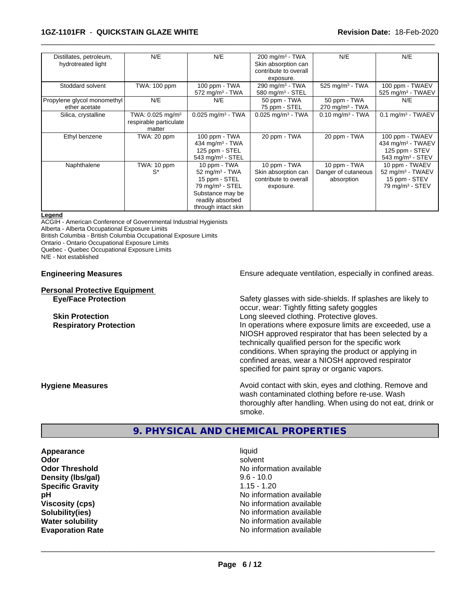#### **1GZ-1101FR** - **QUICKSTAIN GLAZE WHITE Revision Date:** 18-Feb-2020

| Distillates, petroleum,<br>hydrotreated light | N/E                                                    | N/E                                                                                                                                              | $200$ mg/m <sup>3</sup> - TWA<br>Skin absorption can                      | N/E                                               | N/E                                                                                                |
|-----------------------------------------------|--------------------------------------------------------|--------------------------------------------------------------------------------------------------------------------------------------------------|---------------------------------------------------------------------------|---------------------------------------------------|----------------------------------------------------------------------------------------------------|
|                                               |                                                        |                                                                                                                                                  | contribute to overall                                                     |                                                   |                                                                                                    |
|                                               |                                                        |                                                                                                                                                  | exposure.                                                                 |                                                   |                                                                                                    |
| Stoddard solvent                              | TWA: 100 ppm                                           | 100 ppm - TWA<br>$572$ mg/m <sup>3</sup> - TWA                                                                                                   | $290 \text{ mg/m}^3$ - TWA<br>580 mg/m <sup>3</sup> - STEL                | $525$ mg/m <sup>3</sup> - TWA                     | 100 ppm - TWAEV<br>525 mg/m <sup>3</sup> - TWAEV                                                   |
| Propylene glycol monomethyl                   | N/E                                                    | N/E                                                                                                                                              | 50 ppm - TWA                                                              | 50 ppm - TWA                                      | N/E                                                                                                |
| ether acetate                                 |                                                        |                                                                                                                                                  | 75 ppm - STEL                                                             | $270 \text{ mg/m}^3$ - TWA                        |                                                                                                    |
| Silica, crystalline                           | TWA: 0.025 mg/m <sup>3</sup><br>respirable particulate | $0.025$ mg/m <sup>3</sup> - TWA                                                                                                                  | $0.025$ mg/m <sup>3</sup> - TWA                                           | $0.10 \text{ mg/m}^3$ - TWA                       | $0.1$ mg/m <sup>3</sup> - TWAEV                                                                    |
|                                               | matter                                                 |                                                                                                                                                  |                                                                           |                                                   |                                                                                                    |
| Ethyl benzene                                 | TWA: 20 ppm                                            | 100 ppm - TWA<br>434 mg/m <sup>3</sup> - TWA<br>125 ppm - STEL<br>543 mg/m $3 -$ STEL                                                            | 20 ppm - TWA                                                              | 20 ppm - TWA                                      | 100 ppm - TWAEV<br>434 mg/m <sup>3</sup> - TWAEV<br>125 ppm - STEV<br>543 mg/m <sup>3</sup> - STEV |
| Naphthalene                                   | TWA: 10 ppm<br>$S^*$                                   | 10 ppm - TWA<br>52 mg/m $3$ - TWA<br>15 ppm - STEL<br>79 mg/m <sup>3</sup> - STEL<br>Substance may be<br>readily absorbed<br>through intact skin | 10 ppm - TWA<br>Skin absorption can<br>contribute to overall<br>exposure. | 10 ppm - TWA<br>Danger of cutaneous<br>absorption | 10 ppm - TWAEV<br>52 mg/m <sup>3</sup> - TWAEV<br>15 ppm - STEV<br>$79$ mg/m <sup>3</sup> - STEV   |

 $\overline{\phantom{a}}$  ,  $\overline{\phantom{a}}$  ,  $\overline{\phantom{a}}$  ,  $\overline{\phantom{a}}$  ,  $\overline{\phantom{a}}$  ,  $\overline{\phantom{a}}$  ,  $\overline{\phantom{a}}$  ,  $\overline{\phantom{a}}$  ,  $\overline{\phantom{a}}$  ,  $\overline{\phantom{a}}$  ,  $\overline{\phantom{a}}$  ,  $\overline{\phantom{a}}$  ,  $\overline{\phantom{a}}$  ,  $\overline{\phantom{a}}$  ,  $\overline{\phantom{a}}$  ,  $\overline{\phantom{a}}$ 

#### **Legend**

ACGIH - American Conference of Governmental Industrial Hygienists Alberta - Alberta Occupational Exposure Limits British Columbia - British Columbia Occupational Exposure Limits Ontario - Ontario Occupational Exposure Limits Quebec - Quebec Occupational Exposure Limits N/E - Not established

# **Personal Protective Equipment**<br> **Eve/Face Protection**

**Engineering Measures Ensure** Ensure adequate ventilation, especially in confined areas.

Safety glasses with side-shields. If splashes are likely to occur, wear: Tightly fitting safety goggles **Skin Protection Skin Protection Skin Protective gloves.** Long sleeved clothing. Protective gloves. **Respiratory Protection In operations where exposure limits are exceeded, use a** NIOSH approved respirator that has been selected by a technically qualified person for the specific work conditions. When spraying the product or applying in confined areas, wear a NIOSH approved respirator specified for paint spray or organic vapors.

**Hygiene Measures Avoid contact with skin, eyes and clothing. Remove and Hygiene Measures** and clothing. Remove and wash contaminated clothing before re-use. Wash thoroughly after handling. When using do not eat, drink or smoke.

# **9. PHYSICAL AND CHEMICAL PROPERTIES**

**Appearance** liquid **Odor** solvent **Density (lbs/gal)** 9.6 - 10.0<br> **Specific Gravity** 1.15 - 1.20 **Specific Gravity** 

**Odor Threshold No information available No information available pH** No information available **Viscosity (cps)** No information available **Solubility(ies)** No information available **Water solubility** No information available **Evaporation Rate No information available No information available**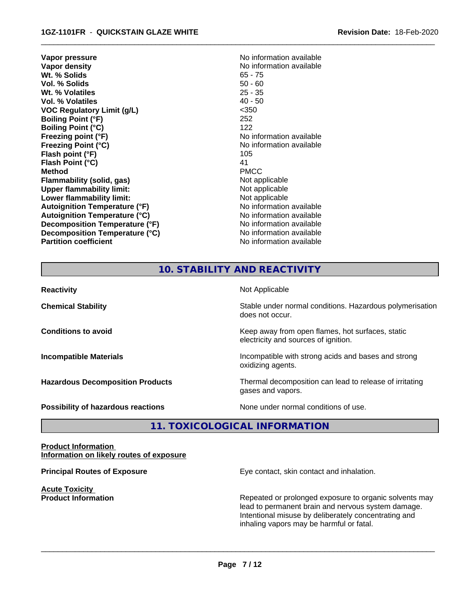**Vapor pressure** No information available **Vapor density**  $\blacksquare$  No information available **Wt. % Solids** 65 - 75<br> **Vol. % Solids** 65 - 76 **Vol. % Solids Wt. % Volatiles** 25 - 35 **Vol. % Volatiles** 40 - 50<br> **VOC Requiatory Limit (q/L)** 40 - 450 **VOC** Regulatory Limit (q/L) **Boiling Point (°F)** 252 **Boiling Point (°C)** 122 **Freezing point (°F)** The state of the state of the No information available **Freezing Point (°C)** and **COV** No information available **Flash point (°F)** 105 **Flash Point (°C)** 41 **Method** PMCC **Flammability (solid, gas)** Not applicable<br> **Upper flammability limit:** Not applicable<br>
Not applicable **Upper flammability limit: Lower flammability limit:**<br> **Autoignition Temperature (°F)** Not applicable available and the Mustafable and Mustafable and Mustafable and Mu **Autoignition Temperature (°F) Autoignition Temperature (°C)** No information available **Decomposition Temperature (°F)** No information available **Decomposition Temperature (°C)** No information available **Partition coefficient** No information available

 $\overline{\phantom{a}}$  ,  $\overline{\phantom{a}}$  ,  $\overline{\phantom{a}}$  ,  $\overline{\phantom{a}}$  ,  $\overline{\phantom{a}}$  ,  $\overline{\phantom{a}}$  ,  $\overline{\phantom{a}}$  ,  $\overline{\phantom{a}}$  ,  $\overline{\phantom{a}}$  ,  $\overline{\phantom{a}}$  ,  $\overline{\phantom{a}}$  ,  $\overline{\phantom{a}}$  ,  $\overline{\phantom{a}}$  ,  $\overline{\phantom{a}}$  ,  $\overline{\phantom{a}}$  ,  $\overline{\phantom{a}}$ 

# **10. STABILITY AND REACTIVITY**

**Reactivity** Not Applicable **Chemical Stability Stability** Stable under normal conditions. Hazardous polymerisation does not occur. **Conditions to avoid Conditions to avoid Conditions keep** away from open flames, hot surfaces, static electricity and sources of ignition. **Incompatible Materials Incompatible with strong acids and bases and strong** oxidizing agents. **Hazardous Decomposition Products** Thermal decomposition can lead to release of irritating gases and vapors. **Possibility of hazardous reactions** None under normal conditions of use.

**11. TOXICOLOGICAL INFORMATION**

**Product Information Information on likely routes of exposure**

**Acute Toxicity** 

**Principal Routes of Exposure Exposure** Eye contact, skin contact and inhalation.

**Product Information Repeated or prolonged exposure to organic solvents may** lead to permanent brain and nervous system damage. Intentional misuse by deliberately concentrating and inhaling vapors may be harmful or fatal.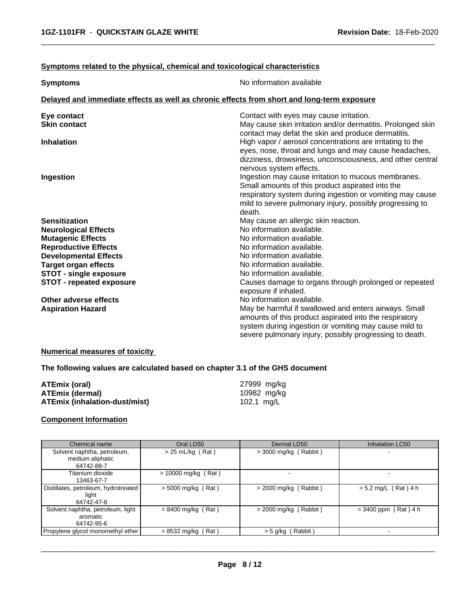#### **<u>Symptoms related to the physical, chemical and toxicological characteristics</u>**

| <b>Symptoms</b>                 | No information available                                                                                                                                                                                                                   |
|---------------------------------|--------------------------------------------------------------------------------------------------------------------------------------------------------------------------------------------------------------------------------------------|
|                                 | Delayed and immediate effects as well as chronic effects from short and long-term exposure                                                                                                                                                 |
| Eye contact                     | Contact with eyes may cause irritation.                                                                                                                                                                                                    |
| <b>Skin contact</b>             | May cause skin irritation and/or dermatitis. Prolonged skin<br>contact may defat the skin and produce dermatitis.                                                                                                                          |
| <b>Inhalation</b>               | High vapor / aerosol concentrations are irritating to the<br>eyes, nose, throat and lungs and may cause headaches,<br>dizziness, drowsiness, unconsciousness, and other central<br>nervous system effects.                                 |
| Ingestion                       | Ingestion may cause irritation to mucous membranes.<br>Small amounts of this product aspirated into the<br>respiratory system during ingestion or vomiting may cause<br>mild to severe pulmonary injury, possibly progressing to<br>death. |
| <b>Sensitization</b>            | May cause an allergic skin reaction.                                                                                                                                                                                                       |
| <b>Neurological Effects</b>     | No information available.                                                                                                                                                                                                                  |
| <b>Mutagenic Effects</b>        | No information available.                                                                                                                                                                                                                  |
| <b>Reproductive Effects</b>     | No information available.                                                                                                                                                                                                                  |
| <b>Developmental Effects</b>    | No information available.                                                                                                                                                                                                                  |
| <b>Target organ effects</b>     | No information available.                                                                                                                                                                                                                  |
| <b>STOT - single exposure</b>   | No information available.                                                                                                                                                                                                                  |
| <b>STOT - repeated exposure</b> | Causes damage to organs through prolonged or repeated<br>exposure if inhaled.                                                                                                                                                              |
| Other adverse effects           | No information available.                                                                                                                                                                                                                  |
| <b>Aspiration Hazard</b>        | May be harmful if swallowed and enters airways. Small<br>amounts of this product aspirated into the respiratory<br>system during ingestion or vomiting may cause mild to<br>severe pulmonary injury, possibly progressing to death.        |
|                                 |                                                                                                                                                                                                                                            |

 $\overline{\phantom{a}}$  ,  $\overline{\phantom{a}}$  ,  $\overline{\phantom{a}}$  ,  $\overline{\phantom{a}}$  ,  $\overline{\phantom{a}}$  ,  $\overline{\phantom{a}}$  ,  $\overline{\phantom{a}}$  ,  $\overline{\phantom{a}}$  ,  $\overline{\phantom{a}}$  ,  $\overline{\phantom{a}}$  ,  $\overline{\phantom{a}}$  ,  $\overline{\phantom{a}}$  ,  $\overline{\phantom{a}}$  ,  $\overline{\phantom{a}}$  ,  $\overline{\phantom{a}}$  ,  $\overline{\phantom{a}}$ 

#### **Numerical measures of toxicity**

#### **The following values are calculated based on chapter 3.1 of the GHS document**

| ATEmix (oral)                 | 27999 mg/kg |
|-------------------------------|-------------|
| <b>ATEmix (dermal)</b>        | 10982 mg/kg |
| ATEmix (inhalation-dust/mist) | 102.1 mg/L  |

#### **Component Information**

| Chemical name                                               | Oral LD50             | Dermal LD50             | Inhalation LC50        |
|-------------------------------------------------------------|-----------------------|-------------------------|------------------------|
| Solvent naphtha, petroleum,                                 | $>$ 25 mL/kg (Rat)    | $>$ 3000 mg/kg (Rabbit) |                        |
| medium aliphatic                                            |                       |                         |                        |
| 64742-88-7                                                  |                       |                         |                        |
| Titanium dioxide<br>13463-67-7                              | $> 10000$ mg/kg (Rat) |                         |                        |
| Distillates, petroleum, hydrotreated<br>light<br>64742-47-8 | $>$ 5000 mg/kg (Rat)  | $>$ 2000 mg/kg (Rabbit) | $> 5.2$ mg/L (Rat) 4 h |
| Solvent naphtha, petroleum, light<br>aromatic<br>64742-95-6 | $= 8400$ mg/kg (Rat)  | $>$ 2000 mg/kg (Rabbit) | $= 3400$ ppm (Rat) 4 h |
| Propylene glycol monomethyl ether                           | $= 8532$ mg/kg (Rat)  | > 5 g/kg (Rabbit)       |                        |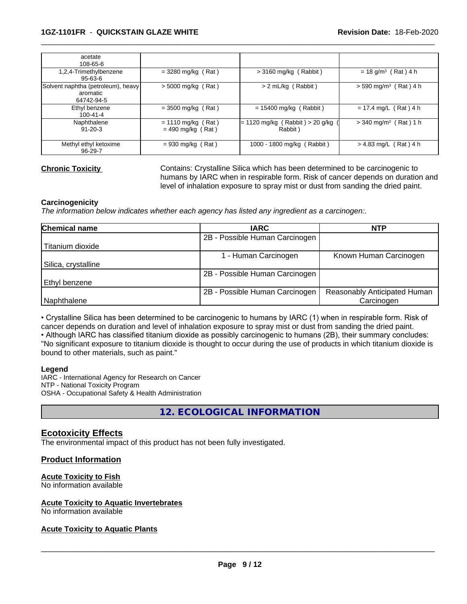#### **1GZ-1101FR** - **QUICKSTAIN GLAZE WHITE Revision Date:** 18-Feb-2020

| acetate<br>108-65-6                                          |                                             |                                              |                                     |
|--------------------------------------------------------------|---------------------------------------------|----------------------------------------------|-------------------------------------|
| 1,2,4-Trimethylbenzene<br>$95 - 63 - 6$                      | $= 3280$ mg/kg (Rat)                        | $>$ 3160 mg/kg (Rabbit)                      | $= 18$ g/m <sup>3</sup> (Rat) 4 h   |
| Solvent naphtha (petroleum), heavy<br>aromatic<br>64742-94-5 | $>$ 5000 mg/kg (Rat)                        | $> 2$ mL/kg (Rabbit)                         | $>$ 590 mg/m <sup>3</sup> (Rat) 4 h |
| Ethyl benzene<br>$100 - 41 - 4$                              | $=$ 3500 mg/kg (Rat)                        | $= 15400$ mg/kg (Rabbit)                     | $= 17.4$ mg/L (Rat) 4 h             |
| Naphthalene<br>$91 - 20 - 3$                                 | $= 1110$ mg/kg (Rat)<br>$= 490$ mg/kg (Rat) | $= 1120$ mg/kg (Rabbit) > 20 g/kg<br>Rabbit) | $>$ 340 mg/m <sup>3</sup> (Rat) 1 h |
| Methyl ethyl ketoxime<br>$96 - 29 - 7$                       | $= 930$ mg/kg (Rat)                         | 1000 - 1800 mg/kg (Rabbit)                   | $> 4.83$ mg/L (Rat) 4 h             |

**Chronic Toxicity** Contains: Crystalline Silica which has been determined to be carcinogenic to humans by IARC when in respirable form. Risk of cancer depends on duration and level of inhalation exposure to spray mist or dust from sanding the dried paint.

 $\overline{\phantom{a}}$  ,  $\overline{\phantom{a}}$  ,  $\overline{\phantom{a}}$  ,  $\overline{\phantom{a}}$  ,  $\overline{\phantom{a}}$  ,  $\overline{\phantom{a}}$  ,  $\overline{\phantom{a}}$  ,  $\overline{\phantom{a}}$  ,  $\overline{\phantom{a}}$  ,  $\overline{\phantom{a}}$  ,  $\overline{\phantom{a}}$  ,  $\overline{\phantom{a}}$  ,  $\overline{\phantom{a}}$  ,  $\overline{\phantom{a}}$  ,  $\overline{\phantom{a}}$  ,  $\overline{\phantom{a}}$ 

#### **Carcinogenicity**

*The information below indicateswhether each agency has listed any ingredient as a carcinogen:.*

| <b>Chemical name</b> | <b>IARC</b>                    | <b>NTP</b>                   |
|----------------------|--------------------------------|------------------------------|
|                      | 2B - Possible Human Carcinogen |                              |
| Titanium dioxide     |                                |                              |
|                      | I - Human Carcinogen           | Known Human Carcinogen       |
| Silica, crystalline  |                                |                              |
|                      | 2B - Possible Human Carcinogen |                              |
| Ethyl benzene        |                                |                              |
|                      | 2B - Possible Human Carcinogen | Reasonably Anticipated Human |
| Naphthalene          |                                | Carcinogen                   |

• Crystalline Silica has been determined to be carcinogenic to humans by IARC (1) when in respirable form. Risk of cancer depends on duration and level of inhalation exposure to spray mist or dust from sanding the dried paint.

• Although IARC has classified titanium dioxide as possibly carcinogenic to humans (2B), their summary concludes: "No significant exposure to titanium dioxide is thought to occur during the use of products in which titanium dioxide is bound to other materials, such as paint."

#### **Legend**

IARC - International Agency for Research on Cancer NTP - National Toxicity Program OSHA - Occupational Safety & Health Administration

**12. ECOLOGICAL INFORMATION**

# **Ecotoxicity Effects**

The environmental impact of this product has not been fully investigated.

#### **Product Information**

# **Acute Toxicity to Fish**

No information available

#### **Acute Toxicity to Aquatic Invertebrates**

No information available

#### **Acute Toxicity to Aquatic Plants**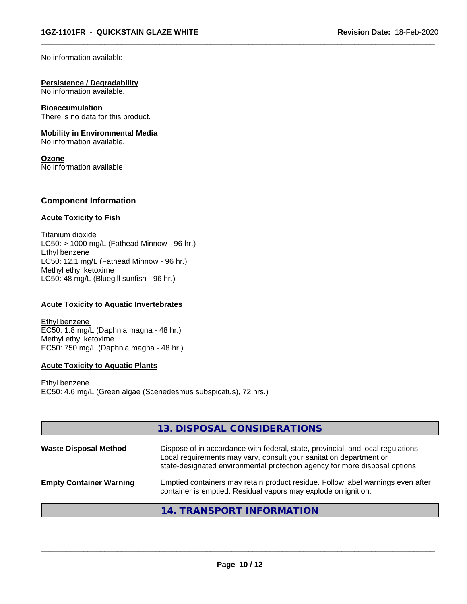$\overline{\phantom{a}}$  ,  $\overline{\phantom{a}}$  ,  $\overline{\phantom{a}}$  ,  $\overline{\phantom{a}}$  ,  $\overline{\phantom{a}}$  ,  $\overline{\phantom{a}}$  ,  $\overline{\phantom{a}}$  ,  $\overline{\phantom{a}}$  ,  $\overline{\phantom{a}}$  ,  $\overline{\phantom{a}}$  ,  $\overline{\phantom{a}}$  ,  $\overline{\phantom{a}}$  ,  $\overline{\phantom{a}}$  ,  $\overline{\phantom{a}}$  ,  $\overline{\phantom{a}}$  ,  $\overline{\phantom{a}}$ 

No information available

#### **Persistence / Degradability**

No information available.

#### **Bioaccumulation**

There is no data for this product.

#### **Mobility in Environmental Media**

No information available.

#### **Ozone**

No information available

#### **Component Information**

#### **Acute Toxicity to Fish**

Titanium dioxide  $LC50:$  > 1000 mg/L (Fathead Minnow - 96 hr.) Ethyl benzene LC50: 12.1 mg/L (Fathead Minnow - 96 hr.) Methyl ethyl ketoxime LC50: 48 mg/L (Bluegill sunfish - 96 hr.)

#### **Acute Toxicity to Aquatic Invertebrates**

Ethyl benzene EC50: 1.8 mg/L (Daphnia magna - 48 hr.) Methyl ethyl ketoxime EC50: 750 mg/L (Daphnia magna - 48 hr.)

#### **Acute Toxicity to Aquatic Plants**

Ethyl benzene EC50: 4.6 mg/L (Green algae (Scenedesmus subspicatus), 72 hrs.)

|                                | 13. DISPOSAL CONSIDERATIONS                                                                                                                                                                                                           |
|--------------------------------|---------------------------------------------------------------------------------------------------------------------------------------------------------------------------------------------------------------------------------------|
| <b>Waste Disposal Method</b>   | Dispose of in accordance with federal, state, provincial, and local regulations.<br>Local requirements may vary, consult your sanitation department or<br>state-designated environmental protection agency for more disposal options. |
| <b>Empty Container Warning</b> | Emptied containers may retain product residue. Follow label warnings even after<br>container is emptied. Residual vapors may explode on ignition.                                                                                     |
|                                | 14. TRANSPORT INFORMATION                                                                                                                                                                                                             |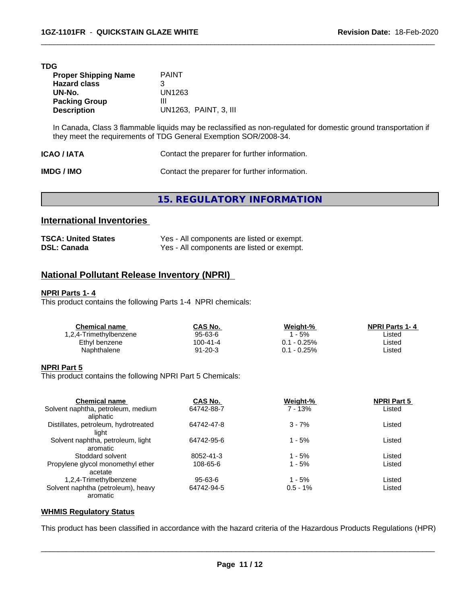#### **TDG**

| <b>Proper Shipping Name</b> | <b>PAINT</b>          |
|-----------------------------|-----------------------|
| <b>Hazard class</b>         |                       |
| UN-No.                      | UN1263                |
| <b>Packing Group</b>        | ш                     |
| <b>Description</b>          | UN1263. PAINT. 3. III |

In Canada, Class 3 flammable liquids may be reclassified as non-regulated for domestic ground transportation if they meet the requirements of TDG General Exemption SOR/2008-34.

 $\overline{\phantom{a}}$  ,  $\overline{\phantom{a}}$  ,  $\overline{\phantom{a}}$  ,  $\overline{\phantom{a}}$  ,  $\overline{\phantom{a}}$  ,  $\overline{\phantom{a}}$  ,  $\overline{\phantom{a}}$  ,  $\overline{\phantom{a}}$  ,  $\overline{\phantom{a}}$  ,  $\overline{\phantom{a}}$  ,  $\overline{\phantom{a}}$  ,  $\overline{\phantom{a}}$  ,  $\overline{\phantom{a}}$  ,  $\overline{\phantom{a}}$  ,  $\overline{\phantom{a}}$  ,  $\overline{\phantom{a}}$ 

| <b>ICAO / IATA</b> | Contact the preparer for further information. |
|--------------------|-----------------------------------------------|
| IMDG / IMO         | Contact the preparer for further information. |

**15. REGULATORY INFORMATION**

### **International Inventories**

| <b>TSCA: United States</b> | Yes - All components are listed or exempt. |
|----------------------------|--------------------------------------------|
| <b>DSL: Canada</b>         | Yes - All components are listed or exempt. |

# **National Pollutant Release Inventory (NPRI)**

#### **NPRI Parts 1- 4**

This product contains the following Parts 1-4 NPRI chemicals:

| CAS No.  | Weight-%  | <b>NPRI Parts 1-4</b> |  |
|----------|-----------|-----------------------|--|
| 95-63-6  | - 5%      | _isted                |  |
| 100-41-4 | $-0.25%$  | Listed                |  |
| 91-20-3  | $-0.25\%$ | Listed                |  |
|          |           |                       |  |

#### **NPRI Part 5**

This product contains the following NPRI Part 5 Chemicals:

| <b>Chemical name</b>                 | CAS No.       | Weight-%    | <b>NPRI Part 5</b> |  |
|--------------------------------------|---------------|-------------|--------------------|--|
| Solvent naphtha, petroleum, medium   | 64742-88-7    | 7 - 13%     | Listed             |  |
| aliphatic                            |               |             |                    |  |
| Distillates, petroleum, hydrotreated | 64742-47-8    | $3 - 7%$    | Listed             |  |
| light                                |               |             |                    |  |
| Solvent naphtha, petroleum, light    | 64742-95-6    | $1 - 5%$    | Listed             |  |
| aromatic                             |               |             |                    |  |
| Stoddard solvent                     | 8052-41-3     | $1 - 5%$    | Listed             |  |
| Propylene glycol monomethyl ether    | 108-65-6      | $1 - 5%$    | Listed             |  |
| acetate                              |               |             |                    |  |
| 1,2,4-Trimethylbenzene               | $95 - 63 - 6$ | $1 - 5%$    | Listed             |  |
| Solvent naphtha (petroleum), heavy   | 64742-94-5    | $0.5 - 1\%$ | Listed             |  |
| aromatic                             |               |             |                    |  |

#### **WHMIS Regulatory Status**

This product has been classified in accordance with the hazard criteria of the Hazardous Products Regulations (HPR)